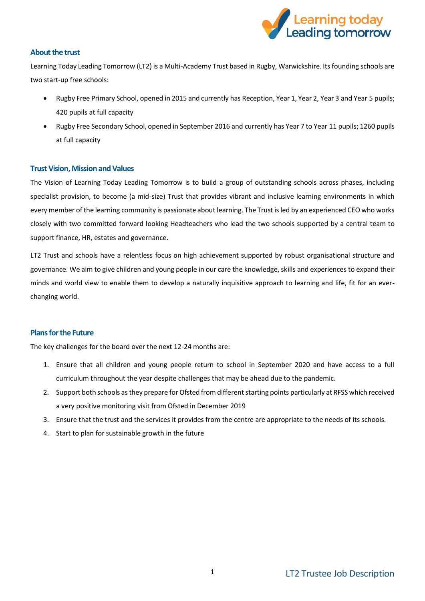

# **About the trust**

Learning Today Leading Tomorrow (LT2) is a Multi-Academy Trust based in Rugby, Warwickshire. Its founding schools are two start-up free schools:

- Rugby Free Primary School, opened in 2015 and currently has Reception, Year 1, Year 2, Year 3 and Year 5 pupils; 420 pupils at full capacity
- Rugby Free Secondary School, opened in September 2016 and currently has Year 7 to Year 11 pupils; 1260 pupils at full capacity

## **Trust Vision, Mission and Values**

The Vision of Learning Today Leading Tomorrow is to build a group of outstanding schools across phases, including specialist provision, to become (a mid-size) Trust that provides vibrant and inclusive learning environments in which every member of the learning community is passionate about learning. The Trust is led by an experienced CEO who works closely with two committed forward looking Headteachers who lead the two schools supported by a central team to support finance, HR, estates and governance.

LT2 Trust and schools have a relentless focus on high achievement supported by robust organisational structure and governance. We aim to give children and young people in our care the knowledge, skills and experiences to expand their minds and world view to enable them to develop a naturally inquisitive approach to learning and life, fit for an everchanging world.

## **Plans for the Future**

The key challenges for the board over the next 12-24 months are:

- 1. Ensure that all children and young people return to school in September 2020 and have access to a full curriculum throughout the year despite challenges that may be ahead due to the pandemic.
- 2. Support both schools as they prepare for Ofsted from different starting points particularly at RFSS which received a very positive monitoring visit from Ofsted in December 2019
- 3. Ensure that the trust and the services it provides from the centre are appropriate to the needs of its schools.
- 4. Start to plan for sustainable growth in the future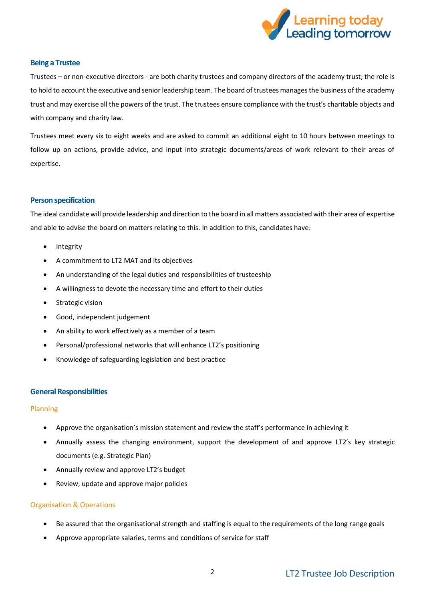

### **Being a Trustee**

Trustees – or non-executive directors - are both charity trustees and company directors of the academy trust; the role is to hold to account the executive and senior leadership team. The board of trustees manages the business of the academy trust and may exercise all the powers of the trust. The trustees ensure compliance with the trust's charitable objects and with company and charity law.

Trustees meet every six to eight weeks and are asked to commit an additional eight to 10 hours between meetings to follow up on actions, provide advice, and input into strategic documents/areas of work relevant to their areas of expertise.

### **Person specification**

The ideal candidate will provide leadership and direction to the board in all matters associated with their area of expertise and able to advise the board on matters relating to this. In addition to this, candidates have:

- Integrity
- A commitment to LT2 MAT and its objectives
- An understanding of the legal duties and responsibilities of trusteeship
- A willingness to devote the necessary time and effort to their duties
- Strategic vision
- Good, independent judgement
- An ability to work effectively as a member of a team
- Personal/professional networks that will enhance LT2's positioning
- Knowledge of safeguarding legislation and best practice

### **General Responsibilities**

### Planning

- Approve the organisation's mission statement and review the staff's performance in achieving it
- Annually assess the changing environment, support the development of and approve LT2's key strategic documents (e.g. Strategic Plan)
- Annually review and approve LT2's budget
- Review, update and approve major policies

### Organisation & Operations

- Be assured that the organisational strength and staffing is equal to the requirements of the long range goals
- Approve appropriate salaries, terms and conditions of service for staff